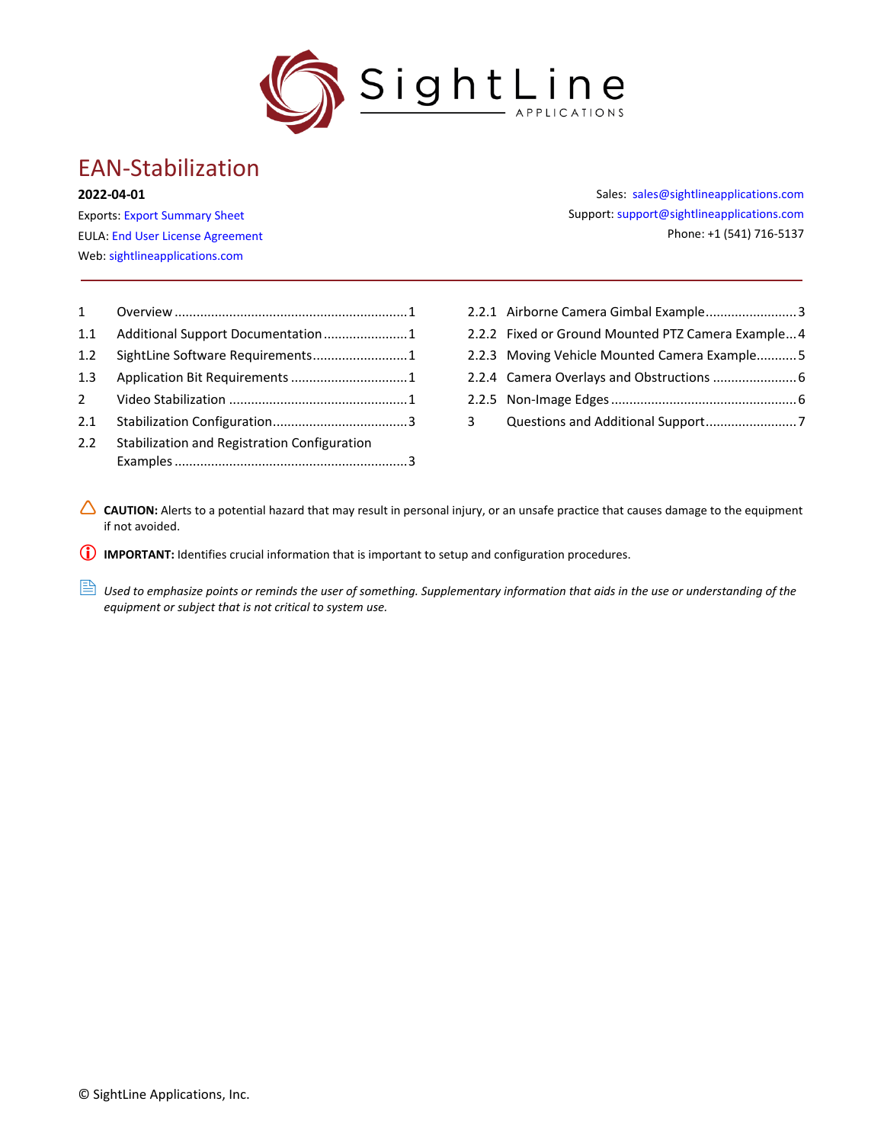

# EAN-Stabilization

#### **2022-04-01**

Exports: [Export Summary Sheet](https://sightlineapplications.com/wp-content/uploads/Exports-Summary.pdf) EULA[: End User License Agreement](https://sightlineapplications.com/wp-content/uploads/SightLine-Product-License.pdf) Web[: sightlineapplications.com](https://sightlineapplications.com/)

| $\mathbf{1}$   |                                              |  |
|----------------|----------------------------------------------|--|
| 1.1            | Additional Support Documentation1            |  |
| 1.2            | SightLine Software Requirements1             |  |
| 1.3            |                                              |  |
| $\overline{2}$ |                                              |  |
| 2.1            |                                              |  |
| 2.2            | Stabilization and Registration Configuration |  |
|                |                                              |  |
|                |                                              |  |

Sales: [sales@sightlineapplications.com](mailto:sales@sightlineapplications.com) Support[: support@sightlineapplications.com](mailto:support@sightlineapplications.com) Phone: +1 (541) 716-5137

- 2.2.1 [Airborne Camera Gimbal Example.........................3](#page-3-2)
- 2.2.2 [Fixed or Ground Mounted PTZ Camera Example...4](#page-4-0)
- 2.2.3 [Moving Vehicle Mounted Camera Example...........5](#page-5-0)
- 2.2.4 [Camera Overlays and Obstructions](#page-6-0) .......................6
- 2.2.5 [Non-Image Edges...................................................6](#page-6-1)
- 3 [Questions and Additional Support.........................7](#page-7-0)
- △ CAUTION: Alerts to a potential hazard that may result in personal injury, or an unsafe practice that causes damage to the equipment if not avoided.

**IMPORTANT:** Identifies crucial information that is important to setup and configuration procedures.

**B** Used to emphasize points or reminds the user of something. Supplementary information that aids in the use or understanding of the *equipment or subject that is not critical to system use.*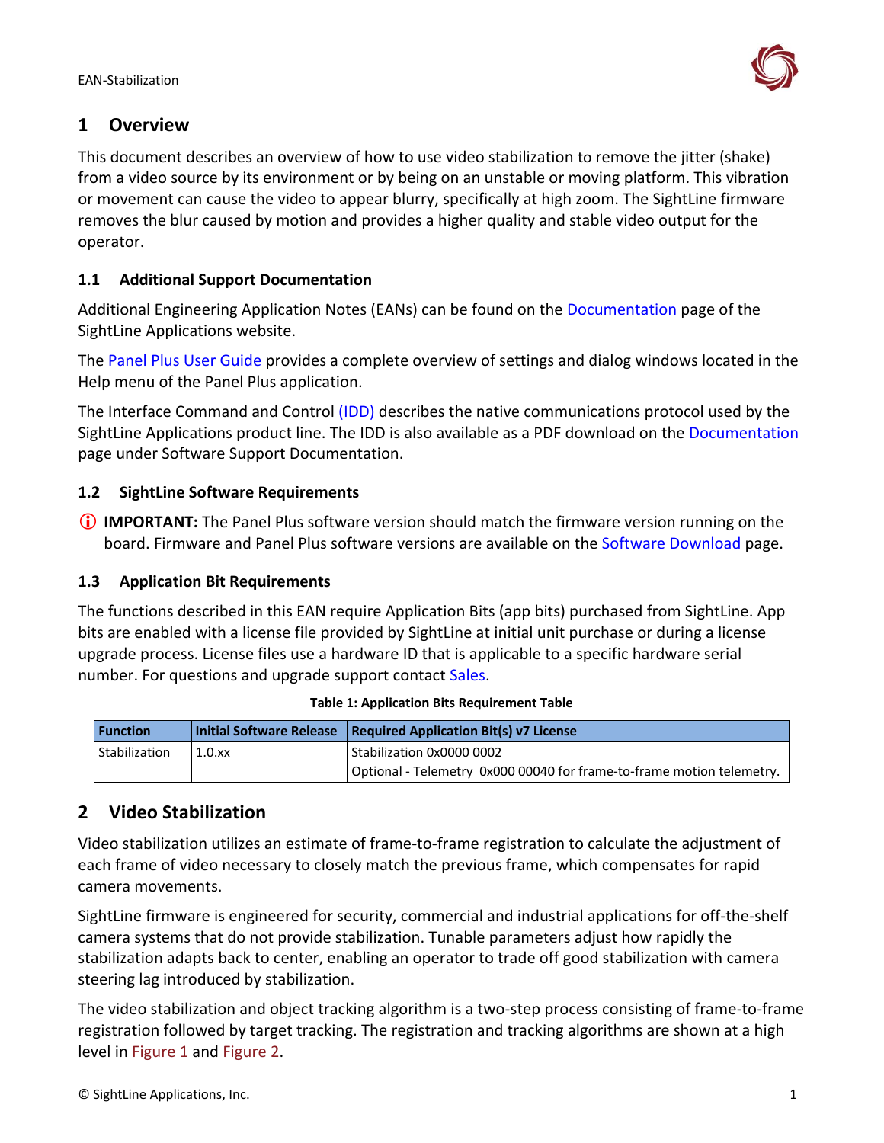

# <span id="page-1-0"></span>**1 Overview**

This document describes an overview of how to use video stabilization to remove the jitter (shake) from a video source by its environment or by being on an unstable or moving platform. This vibration or movement can cause the video to appear blurry, specifically at high zoom. The SightLine firmware removes the blur caused by motion and provides a higher quality and stable video output for the operator.

## <span id="page-1-1"></span>**1.1 Additional Support Documentation**

Additional Engineering Application Notes (EANs) can be found on the [Documentation](https://sightlineapplications.com/documentation/) page of the SightLine Applications website.

The [Panel Plus User Guide](https://sightlineapplications.com/downloads/) provides a complete overview of settings and dialog windows located in the Help menu of the Panel Plus application.

The Interface Command and Control [\(IDD\)](https://sightlineapplications.com/releases/IDD/current/index.html) describes the native communications protocol used by the SightLine Applications product line. The IDD is also available as a PDF download on the [Documentation](https://sightlineapplications.com/documentation/) page under Software Support Documentation.

## <span id="page-1-2"></span>**1.2 SightLine Software Requirements**

**IMPORTANT:** The Panel Plus software version should match the firmware version running on the board. Firmware and Panel Plus software versions are available on the [Software Download](https://sightlineapplications.com/downloads/) page.

## <span id="page-1-3"></span>**1.3 Application Bit Requirements**

The functions described in this EAN require Application Bits (app bits) purchased from SightLine. App bits are enabled with a license file provided by SightLine at initial unit purchase or during a license upgrade process. License files use a hardware ID that is applicable to a specific hardware serial number. For questions and upgrade support contact [Sales.](mailto:sales@sightlineapplications.com)

| <b>Function</b> |        | Initial Software Release   Required Application Bit(s) v7 License     |
|-----------------|--------|-----------------------------------------------------------------------|
| Stabilization   | 1.0.xx | Stabilization 0x0000 0002                                             |
|                 |        | Optional - Telemetry 0x000 00040 for frame-to-frame motion telemetry. |

#### **Table 1: Application Bits Requirement Table**

# <span id="page-1-4"></span>**2 Video Stabilization**

Video stabilization utilizes an estimate of frame-to-frame registration to calculate the adjustment of each frame of video necessary to closely match the previous frame, which compensates for rapid camera movements.

SightLine firmware is engineered for security, commercial and industrial applications for off-the-shelf camera systems that do not provide stabilization. Tunable parameters adjust how rapidly the stabilization adapts back to center, enabling an operator to trade off good stabilization with camera steering lag introduced by stabilization.

The video stabilization and object tracking algorithm is a two-step process consisting of frame-to-frame registration followed by target tracking. The registration and tracking algorithms are shown at a high level in Figure 1 and Figure 2.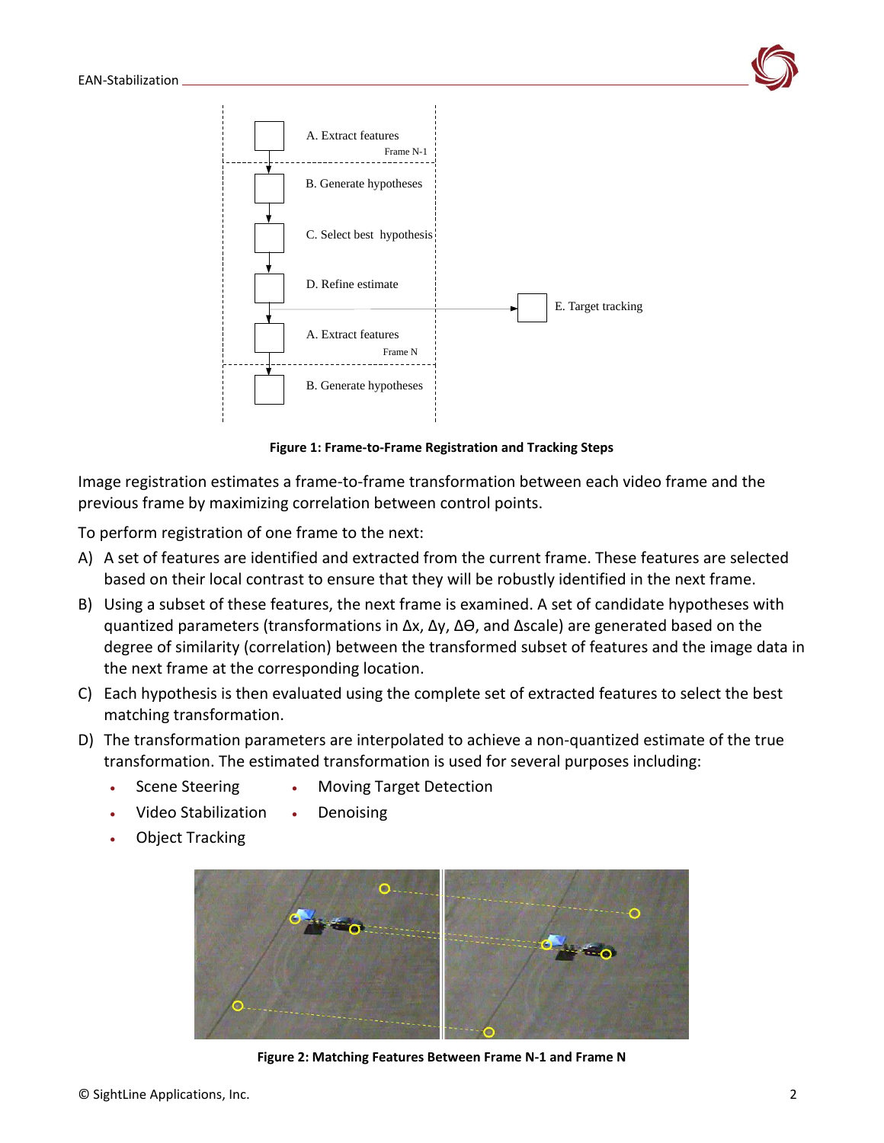

**Figure 1: Frame-to-Frame Registration and Tracking Steps**

Image registration estimates a frame-to-frame transformation between each video frame and the previous frame by maximizing correlation between control points.

To perform registration of one frame to the next:

- A) A set of features are identified and extracted from the current frame. These features are selected based on their local contrast to ensure that they will be robustly identified in the next frame.
- B) Using a subset of these features, the next frame is examined. A set of candidate hypotheses with quantized parameters (transformations in ∆x, ∆y, ∆Ө, and ∆scale) are generated based on the degree of similarity (correlation) between the transformed subset of features and the image data in the next frame at the corresponding location.
- C) Each hypothesis is then evaluated using the complete set of extracted features to select the best matching transformation.
- D) The transformation parameters are interpolated to achieve a non-quantized estimate of the true transformation. The estimated transformation is used for several purposes including:
	- Scene Steering • Moving Target Detection
		-
	- Video Stabilization • Denoising
	- Object Tracking



**Figure 2: Matching Features Between Frame N-1 and Frame N**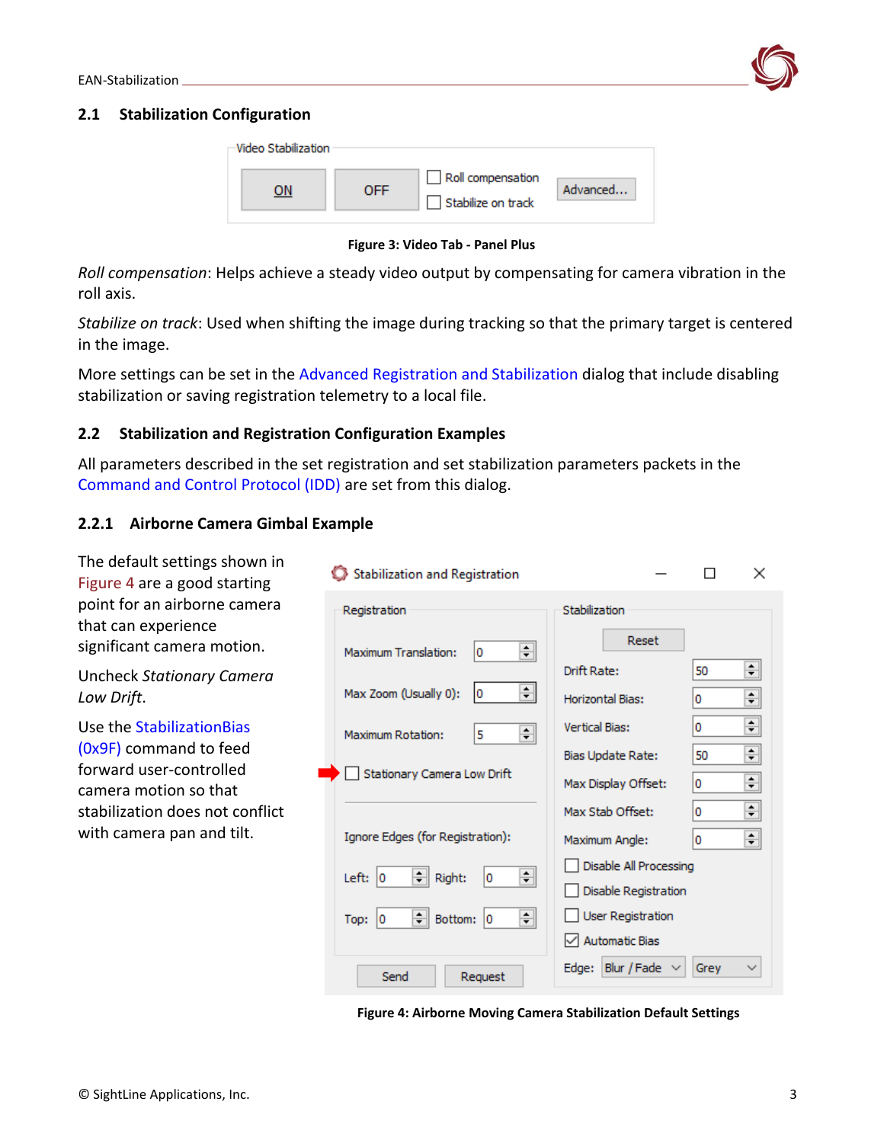

#### <span id="page-3-0"></span>**2.1 Stabilization Configuration**

| Video Stabilization |     |                                         |          |
|---------------------|-----|-----------------------------------------|----------|
| ٦N                  | OFF | Roll compensation<br>Stabilize on track | Advanced |

**Figure 3: Video Tab - Panel Plus** 

*Roll compensation*: Helps achieve a steady video output by compensating for camera vibration in the roll axis.

*Stabilize on track*: Used when shifting the image during tracking so that the primary target is centered in the image.

More settings can be set in the [Advanced Registration and Stabilization](#page-3-1) dialog that include disabling stabilization or saving registration telemetry to a local file.

#### <span id="page-3-1"></span>**2.2 Stabilization and Registration Configuration Examples**

All parameters described in the set registration and set stabilization parameters packets in the [Command and Control Protocol \(IDD\)](https://sightlineapplications.com/releases/IDD/current/index.html) are set from this dialog.

### <span id="page-3-2"></span>**2.2.1 Airborne Camera Gimbal Example**

The default settings shown in × Stabilization and Registration  $\Box$ Figure 4 are a good starting point for an airborne camera Registration Stabilization that can experience Reset significant camera motion. ≑ Maximum Translation: 10 ÷ Drift Rate: 50 Uncheck *Stationary Camera*   $\div$ Max Zoom (Usually 0): ١o  $\div$ *Low Drift*. Horizontal Bias: ۱o  $\div$ Use the [StabilizationBias](https://sightlineapplications.com/releases/IDD/current/struct_s_l_a_stabilization_bias__t.html)  ١o Vertical Bias:  $\left| \frac{\bullet}{\bullet} \right|$ 15 Maximum Rotation: [\(0x9F\)](https://sightlineapplications.com/releases/IDD/current/struct_s_l_a_stabilization_bias__t.html) command to feed  $\div$ Bias Update Rate: 50 forward user-controlled Stationary Camera Low Drift ÷ Max Display Offset: ١o camera motion so that ÷ stabilization does not conflict Max Stab Offset: 10 with camera pan and tilt. Ignore Edges (for Registration): ÷ Maximum Angle: ۱o Disable All Processing ÷ Left:  $|0|$  $=$  Right: ١o Disable Registration User Registration ÷ Top:  $|0|$ → Bottom: 0  $\sqrt{\phantom{a}}$  Automatic Bias Edge: Blur / Fade  $\vee$ Grey  $\checkmark$ Send Request

**Figure 4: Airborne Moving Camera Stabilization Default Settings**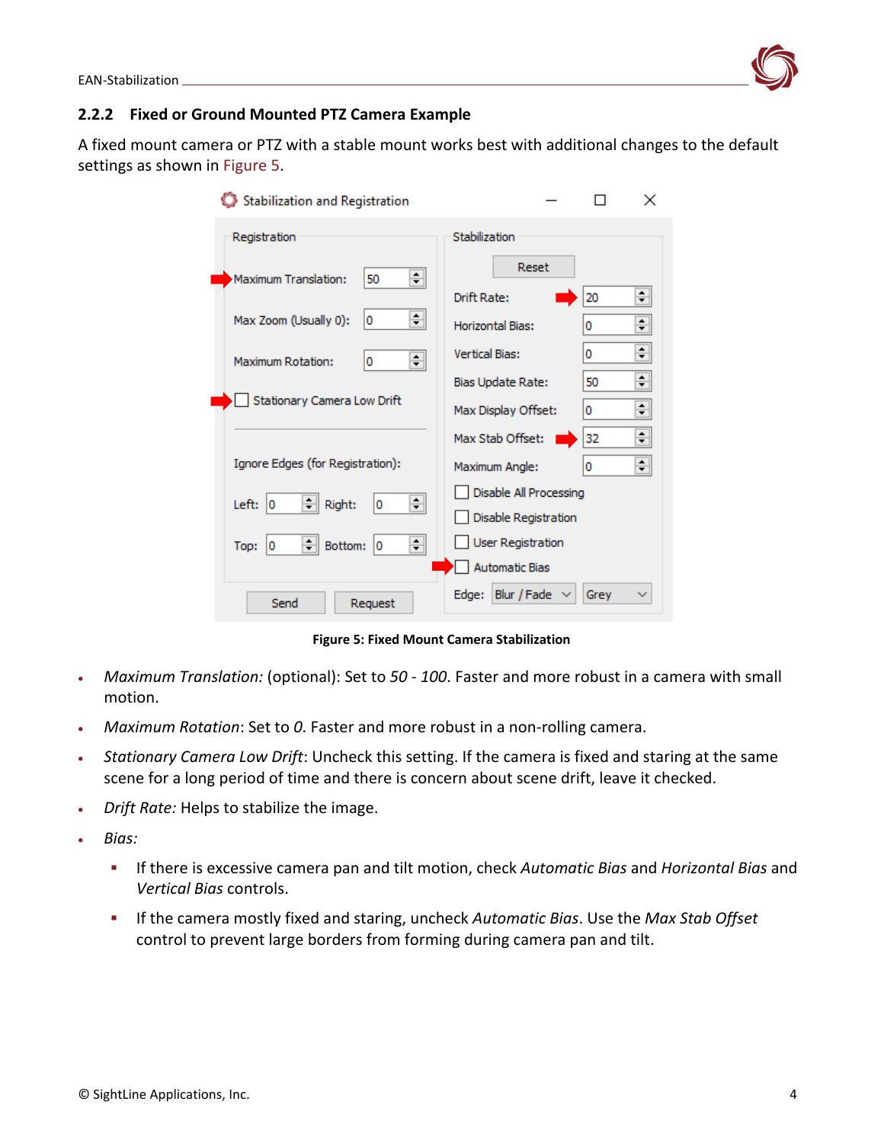

#### <span id="page-4-0"></span>**2.2.2 Fixed or Ground Mounted PTZ Camera Example**

A fixed mount camera or PTZ with a stable mount works best with additional changes to the default settings as shown in Figure 5.

| Stabilization and Registration        | ×                                                                        |
|---------------------------------------|--------------------------------------------------------------------------|
| Registration                          | Stabilization                                                            |
| ≑∥<br>Maximum Translation:<br>50      | Reset<br>÷<br>Drift Rate:<br>20                                          |
| ≑∥<br>Max Zoom (Usually 0):<br>0      | ÷<br>Horizontal Bias:<br>0                                               |
| 췌<br>Maximum Rotation:<br>0           | ÷<br><b>Vertical Bias:</b><br>0                                          |
|                                       | ÷<br>50<br>Bias Update Rate:                                             |
| Stationary Camera Low Drift           | $\blacktriangle$<br>Max Display Offset:<br>0<br>$\overline{\phantom{a}}$ |
|                                       | ٠.<br>32<br>Max Stab Offset:<br>▼                                        |
| Ignore Edges (for Registration):      | ÷<br>Maximum Angle:<br>0                                                 |
| ≑∥<br>÷<br>Left:<br>Right:<br>10<br>0 | Disable All Processing                                                   |
|                                       | Disable Registration                                                     |
| ≑∣<br>≑∥<br>Bottom:<br>O<br>Top:<br>0 | <b>User Registration</b>                                                 |
|                                       | <b>Automatic Bias</b>                                                    |
| Send<br>Request                       | Edge: Blur / Fade<br>Grev                                                |

**Figure 5: Fixed Mount Camera Stabilization**

- *Maximum Translation:* (optional): Set to *50 100*. Faster and more robust in a camera with small motion.
- *Maximum Rotation*: Set to *0*. Faster and more robust in a non-rolling camera.
- *Stationary Camera Low Drift*: Uncheck this setting. If the camera is fixed and staring at the same scene for a long period of time and there is concern about scene drift, leave it checked.
- *Drift Rate:* Helps to stabilize the image.
- *Bias:*
	- If there is excessive camera pan and tilt motion, check *Automatic Bias* and *Horizontal Bias* and *Vertical Bias* controls.
	- If the camera mostly fixed and staring, uncheck *Automatic Bias*. Use the *Max Stab Offset* control to prevent large borders from forming during camera pan and tilt.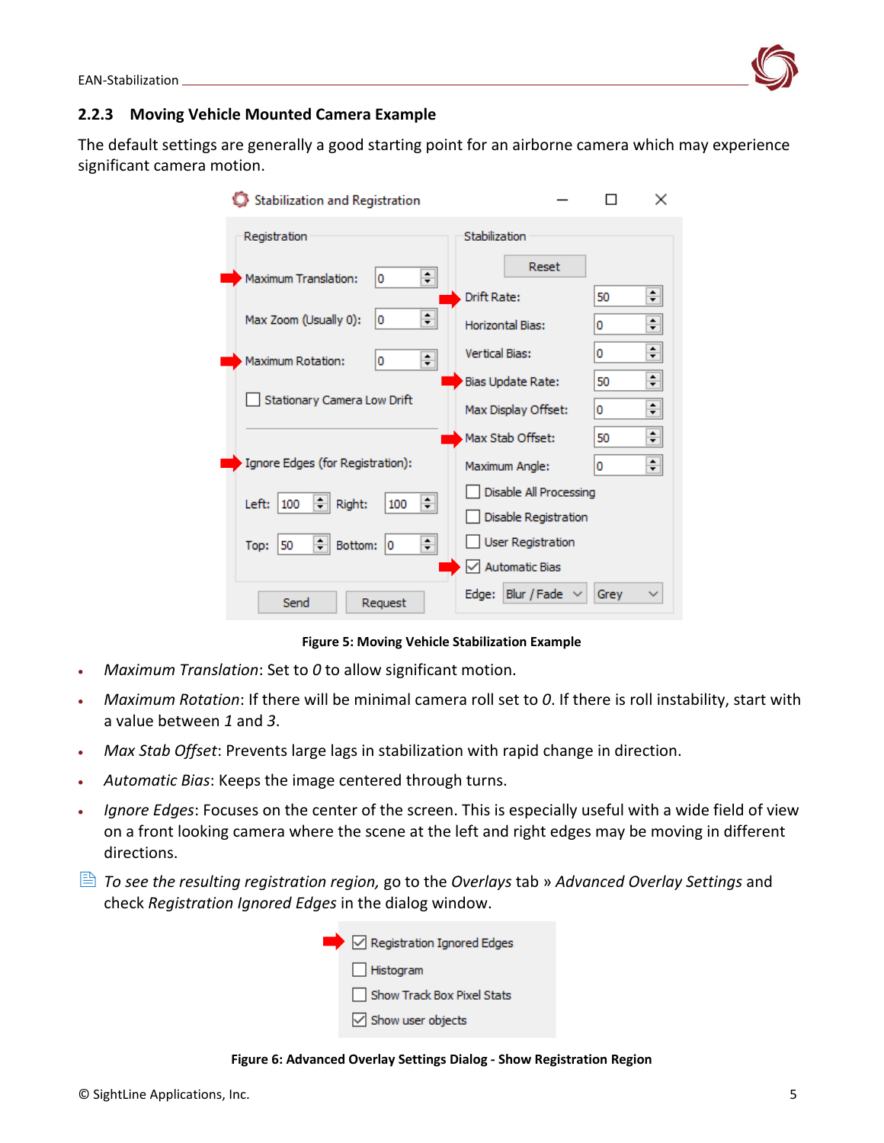

#### <span id="page-5-0"></span>**2.2.3 Moving Vehicle Mounted Camera Example**

The default settings are generally a good starting point for an airborne camera which may experience significant camera motion.

| Stabilization and Registration           |                          | ×            |  |
|------------------------------------------|--------------------------|--------------|--|
| Registration                             | Stabilization            |              |  |
| ÷<br>Maximum Translation:<br>0           | Reset                    |              |  |
|                                          | Drift Rate:              | $\div$<br>50 |  |
| ÷<br>Max Zoom (Usually 0):<br>0          | Horizontal Bias:         | ≑<br>0       |  |
| ÷<br>Maximum Rotation:<br>0              | <b>Vertical Bias:</b>    | $\div$<br>0  |  |
|                                          | Bias Update Rate:        | $\div$<br>50 |  |
| Stationary Camera Low Drift              | Max Display Offset:      | ÷<br>0       |  |
|                                          | Max Stab Offset:         | ÷<br>50      |  |
| Ignore Edges (for Registration):         | Maximum Angle:           | ≑<br>0       |  |
| ≑∣<br>÷<br>Right:<br>100<br>Left:<br>100 | Disable All Processing   |              |  |
|                                          | Disable Registration     |              |  |
| ≑∣<br>÷<br>Bottom:<br>50<br>Top:<br>0    | <b>User Registration</b> |              |  |
|                                          | $\vee$ Automatic Bias    |              |  |
| Send<br>Request                          | Edge: Blur / Fade        | Grey         |  |

**Figure 5: Moving Vehicle Stabilization Example**

- *Maximum Translation*: Set to *0* to allow significant motion.
- *Maximum Rotation*: If there will be minimal camera roll set to *0*. If there is roll instability, start with a value between *1* and *3*.
- *Max Stab Offset*: Prevents large lags in stabilization with rapid change in direction.
- *Automatic Bias*: Keeps the image centered through turns.
- *Ignore Edges*: Focuses on the center of the screen. This is especially useful with a wide field of view on a front looking camera where the scene at the left and right edges may be moving in different directions.
- *To see the resulting registration region,* go to the *Overlays* tab » *Advanced Overlay Settings* and check *Registration Ignored Edges* in the dialog window.



**Figure 6: Advanced Overlay Settings Dialog - Show Registration Region**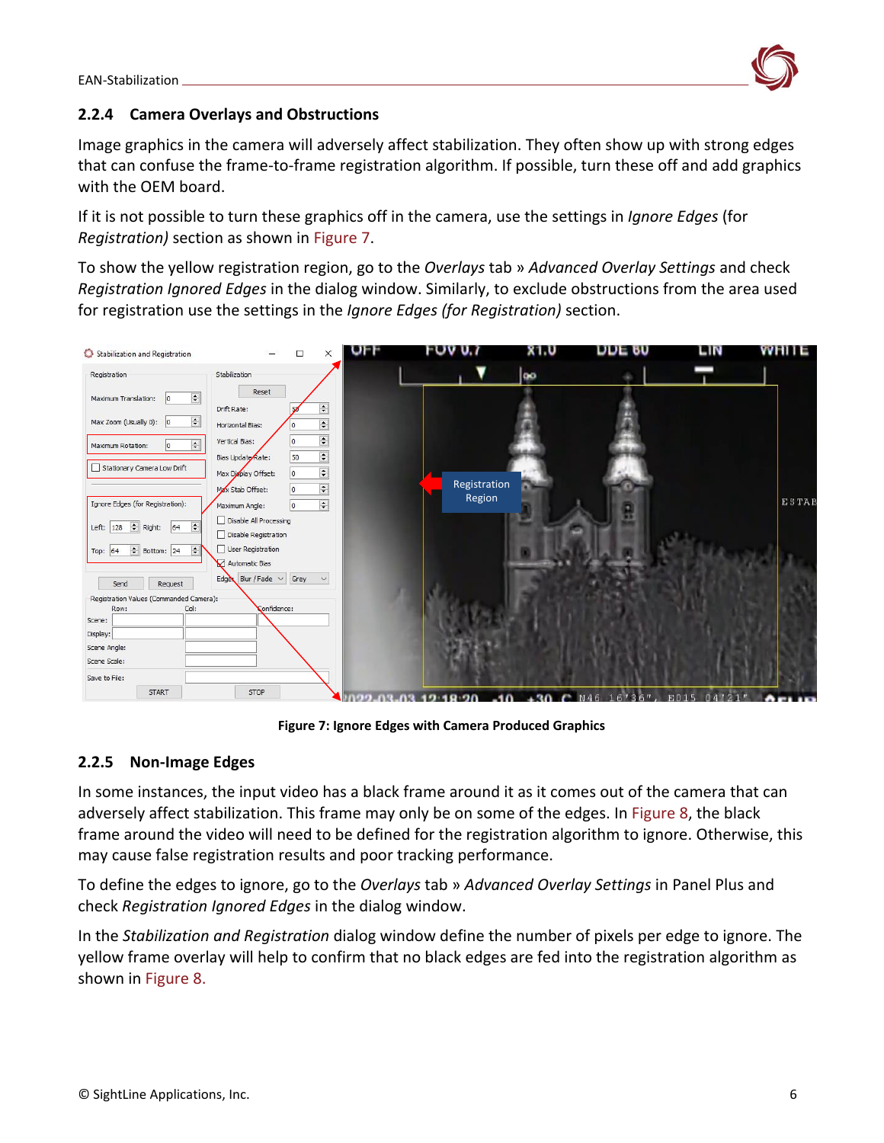

#### <span id="page-6-0"></span>**2.2.4 Camera Overlays and Obstructions**

Image graphics in the camera will adversely affect stabilization. They often show up with strong edges that can confuse the frame-to-frame registration algorithm. If possible, turn these off and add graphics with the OEM board.

If it is not possible to turn these graphics off in the camera, use the settings in *Ignore Edges* (for *Registration)* section as shown in Figure 7.

To show the yellow registration region, go to the *Overlays* tab » *Advanced Overlay Settings* and check *Registration Ignored Edges* in the dialog window. Similarly, to exclude obstructions from the area used for registration use the settings in the *Ignore Edges (for Registration)* section.



**Figure 7: Ignore Edges with Camera Produced Graphics** 

#### <span id="page-6-1"></span>**2.2.5 Non-Image Edges**

In some instances, the input video has a black frame around it as it comes out of the camera that can adversely affect stabilization. This frame may only be on some of the edges. In Figure 8, the black frame around the video will need to be defined for the registration algorithm to ignore. Otherwise, this may cause false registration results and poor tracking performance.

To define the edges to ignore, go to the *Overlays* tab » *Advanced Overlay Settings* in Panel Plus and check *Registration Ignored Edges* in the dialog window.

In the *Stabilization and Registration* dialog window define the number of pixels per edge to ignore. The yellow frame overlay will help to confirm that no black edges are fed into the registration algorithm as shown in Figure 8.